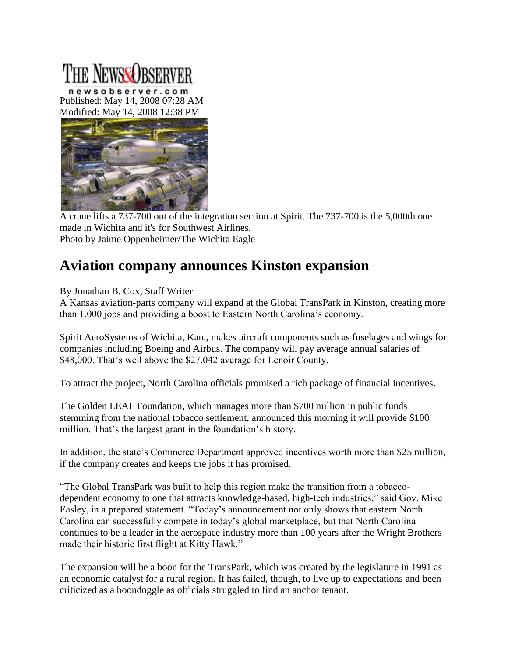## The Newse Dece

newsobserver.com Published: May 14, 2008 07:28 AM Modified: May 14, 2008 12:38 PM



A crane lifts a 737-700 out of the integration section at Spirit. The 737-700 is the 5,000th one made in Wichita and it's for Southwest Airlines. Photo by Jaime Oppenheimer/The Wichita Eagle

## **Aviation company announces Kinston expansion**

By Jonathan B. Cox, Staff Writer

A Kansas aviation-parts company will expand at the Global TransPark in Kinston, creating more than 1,000 jobs and providing a boost to Eastern North Carolina's economy.

Spirit AeroSystems of Wichita, Kan., makes aircraft components such as fuselages and wings for companies including Boeing and Airbus. The company will pay average annual salaries of \$48,000. That's well above the \$27,042 average for Lenoir County.

To attract the project, North Carolina officials promised a rich package of financial incentives.

The Golden LEAF Foundation, which manages more than \$700 million in public funds stemming from the national tobacco settlement, announced this morning it will provide \$100 million. That's the largest grant in the foundation's history.

In addition, the state's Commerce Department approved incentives worth more than \$25 million, if the company creates and keeps the jobs it has promised.

"The Global TransPark was built to help this region make the transition from a tobaccodependent economy to one that attracts knowledge-based, high-tech industries," said Gov. Mike Easley, in a prepared statement. "Today's announcement not only shows that eastern North Carolina can successfully compete in today's global marketplace, but that North Carolina continues to be a leader in the aerospace industry more than 100 years after the Wright Brothers made their historic first flight at Kitty Hawk."

The expansion will be a boon for the TransPark, which was created by the legislature in 1991 as an economic catalyst for a rural region. It has failed, though, to live up to expectations and been criticized as a boondoggle as officials struggled to find an anchor tenant.